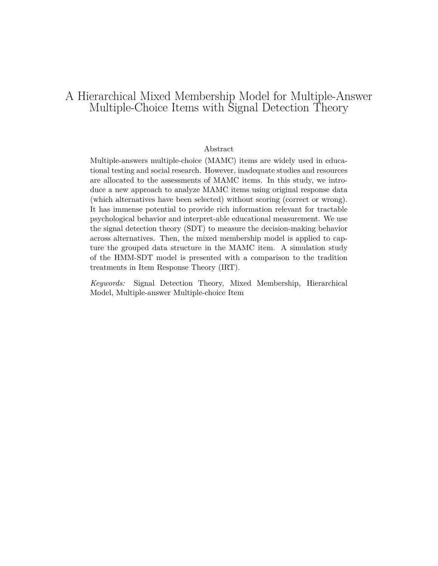# A Hierarchical Mixed Membership Model for Multiple-Answer Multiple-Choice Items with Signal Detection Theory

## Abstract

Multiple-answers multiple-choice (MAMC) items are widely used in educational testing and social research. However, inadequate studies and resources are allocated to the assessments of MAMC items. In this study, we introduce a new approach to analyze MAMC items using original response data (which alternatives have been selected) without scoring (correct or wrong). It has immense potential to provide rich information relevant for tractable psychological behavior and interpret-able educational measurement. We use the signal detection theory (SDT) to measure the decision-making behavior across alternatives. Then, the mixed membership model is applied to capture the grouped data structure in the MAMC item. A simulation study of the HMM-SDT model is presented with a comparison to the tradition treatments in Item Response Theory (IRT).

*Keywords:* Signal Detection Theory, Mixed Membership, Hierarchical Model, Multiple-answer Multiple-choice Item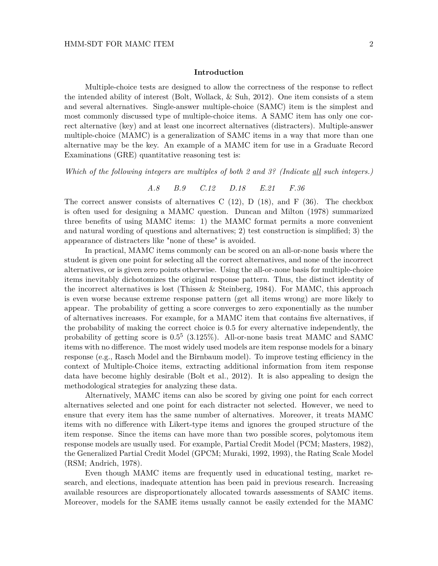#### **Introduction**

Multiple-choice tests are designed to allow the correctness of the response to reflect the intended ability of interest (Bolt, Wollack, & Suh, 2012). One item consists of a stem and several alternatives. Single-answer multiple-choice (SAMC) item is the simplest and most commonly discussed type of multiple-choice items. A SAMC item has only one correct alternative (key) and at least one incorrect alternatives (distracters). Multiple-answer multiple-choice (MAMC) is a generalization of SAMC items in a way that more than one alternative may be the key. An example of a MAMC item for use in a Graduate Record Examinations (GRE) quantitative reasoning test is:

*Which of the following integers are multiples of both 2 and 3? (Indicate all such integers.)*

*A.8 B.9 C.12 D.18 E.21 F.36*

The correct answer consists of alternatives C  $(12)$ , D  $(18)$ , and F  $(36)$ . The checkbox is often used for designing a MAMC question. Duncan and Milton (1978) summarized three benefits of using MAMC items: 1) the MAMC format permits a more convenient and natural wording of questions and alternatives; 2) test construction is simplified; 3) the appearance of distracters like "none of these" is avoided.

In practical, MAMC items commonly can be scored on an all-or-none basis where the student is given one point for selecting all the correct alternatives, and none of the incorrect alternatives, or is given zero points otherwise. Using the all-or-none basis for multiple-choice items inevitably dichotomizes the original response pattern. Thus, the distinct identity of the incorrect alternatives is lost (Thissen & Steinberg, 1984). For MAMC, this approach is even worse because extreme response pattern (get all items wrong) are more likely to appear. The probability of getting a score converges to zero exponentially as the number of alternatives increases. For example, for a MAMC item that contains five alternatives, if the probability of making the correct choice is 0.5 for every alternative independently, the probability of getting score is 0*.*5 5 (3*.*125%). All-or-none basis treat MAMC and SAMC items with no difference. The most widely used models are item response models for a binary response (e.g., Rasch Model and the Birnbaum model). To improve testing efficiency in the context of Multiple-Choice items, extracting additional information from item response data have become highly desirable (Bolt et al., 2012). It is also appealing to design the methodological strategies for analyzing these data.

Alternatively, MAMC items can also be scored by giving one point for each correct alternatives selected and one point for each distracter not selected. However, we need to ensure that every item has the same number of alternatives. Moreover, it treats MAMC items with no difference with Likert-type items and ignores the grouped structure of the item response. Since the items can have more than two possible scores, polytomous item response models are usually used. For example, Partial Credit Model (PCM; Masters, 1982), the Generalized Partial Credit Model (GPCM; Muraki, 1992, 1993), the Rating Scale Model (RSM; Andrich, 1978).

Even though MAMC items are frequently used in educational testing, market research, and elections, inadequate attention has been paid in previous research. Increasing available resources are disproportionately allocated towards assessments of SAMC items. Moreover, models for the SAME items usually cannot be easily extended for the MAMC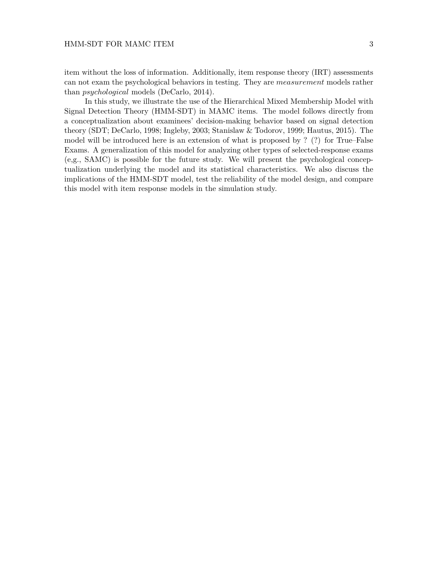item without the loss of information. Additionally, item response theory (IRT) assessments can not exam the psychological behaviors in testing. They are *measurement* models rather than *psychological* models (DeCarlo, 2014).

In this study, we illustrate the use of the Hierarchical Mixed Membership Model with Signal Detection Theory (HMM-SDT) in MAMC items. The model follows directly from a conceptualization about examinees' decision-making behavior based on signal detection theory (SDT; DeCarlo, 1998; Ingleby, 2003; Stanislaw & Todorov, 1999; Hautus, 2015). The model will be introduced here is an extension of what is proposed by ? (?) for True–False Exams. A generalization of this model for analyzing other types of selected-response exams (e,g., SAMC) is possible for the future study. We will present the psychological conceptualization underlying the model and its statistical characteristics. We also discuss the implications of the HMM-SDT model, test the reliability of the model design, and compare this model with item response models in the simulation study.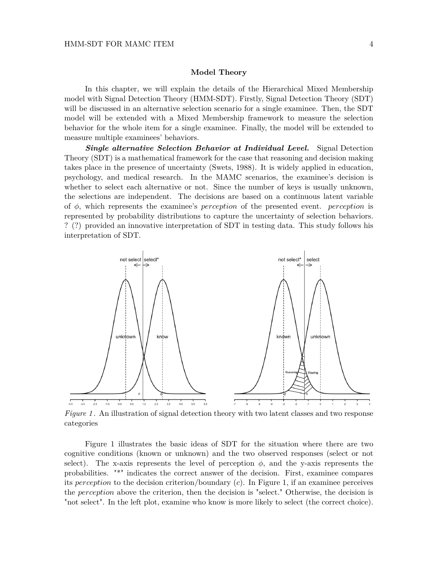## **Model Theory**

In this chapter, we will explain the details of the Hierarchical Mixed Membership model with Signal Detection Theory (HMM-SDT). Firstly, Signal Detection Theory (SDT) will be discussed in an alternative selection scenario for a single examinee. Then, the SDT model will be extended with a Mixed Membership framework to measure the selection behavior for the whole item for a single examinee. Finally, the model will be extended to measure multiple examinees' behaviors.

*Single alternative Selection Behavior at Individual Level.* Signal Detection Theory (SDT) is a mathematical framework for the case that reasoning and decision making takes place in the presence of uncertainty (Swets, 1988). It is widely applied in education, psychology, and medical research. In the MAMC scenarios, the examinee's decision is whether to select each alternative or not. Since the number of keys is usually unknown, the selections are independent. The decisions are based on a continuous latent variable of *φ*, which represents the examinee's *perception* of the presented event. *perception* is represented by probability distributions to capture the uncertainty of selection behaviors. ? (?) provided an innovative interpretation of SDT in testing data. This study follows his interpretation of SDT.



*Figure 1*. An illustration of signal detection theory with two latent classes and two response categories

Figure 1 illustrates the basic ideas of SDT for the situation where there are two cognitive conditions (known or unknown) and the two observed responses (select or not select). The x-axis represents the level of perception  $\phi$ , and the y-axis represents the probabilities. "\*" indicates the correct answer of the decision. First, examinee compares its *perception* to the decision criterion/boundary (*c*). In Figure 1, if an examinee perceives the *perception* above the criterion, then the decision is "select." Otherwise, the decision is "not select". In the left plot, examine who know is more likely to select (the correct choice).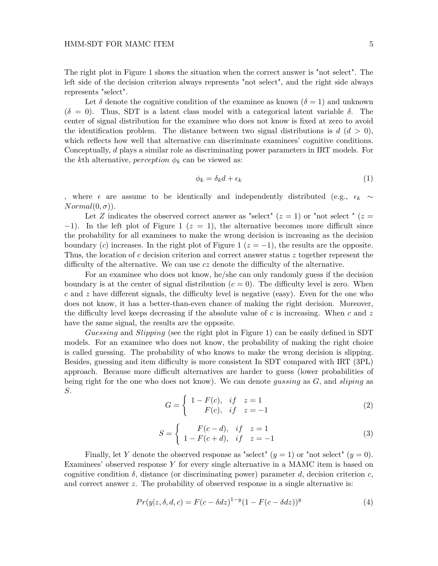## HMM-SDT FOR MAMC ITEM 5

The right plot in Figure 1 shows the situation when the correct answer is "not select". The left side of the decision criterion always represents "not select", and the right side always represents "select".

Let  $\delta$  denote the cognitive condition of the examinee as known ( $\delta = 1$ ) and unknown  $(\delta = 0)$ . Thus, SDT is a latent class model with a categorical latent variable  $\delta$ . The center of signal distribution for the examinee who does not know is fixed at zero to avoid the identification problem. The distance between two signal distributions is  $d$  ( $d > 0$ ), which reflects how well that alternative can discriminate examinees' cognitive conditions. Conceptually, *d* plays a similar role as discriminating power parameters in IRT models. For the *k*th alternative, *perception*  $\phi_k$  can be viewed as:

$$
\phi_k = \delta_k d + \epsilon_k \tag{1}
$$

, where  $\epsilon$  are assume to be identically and independently distributed (e.g.,  $\epsilon_k \sim$  $Normal(0, \sigma)$ ).

Let *Z* indicates the observed correct answer as "select" ( $z = 1$ ) or "not select" ( $z = 1$ )  $-1$ ). In the left plot of Figure 1 ( $z = 1$ ), the alternative becomes more difficult since the probability for all examinees to make the wrong decision is increasing as the decision boundary (*c*) increases. In the right plot of Figure 1 ( $z = -1$ ), the results are the opposite. Thus, the location of *c* decision criterion and correct answer status *z* together represent the difficulty of the alternative. We can use *cz* denote the difficulty of the alternative.

For an examinee who does not know, he/she can only randomly guess if the decision boundary is at the center of signal distribution  $(c = 0)$ . The difficulty level is zero. When *c* and *z* have different signals, the difficulty level is negative (easy). Even for the one who does not know, it has a better-than-even chance of making the right decision. Moreover, the difficulty level keeps decreasing if the absolute value of *c* is increasing. When *c* and *z* have the same signal, the results are the opposite.

*Guessing* and *Slipping* (see the right plot in Figure 1) can be easily defined in SDT models. For an examinee who does not know, the probability of making the right choice is called guessing. The probability of who knows to make the wrong decision is slipping. Besides, guessing and item difficulty is more consistent In SDT compared with IRT (3PL) approach. Because more difficult alternatives are harder to guess (lower probabilities of being right for the one who does not know). We can denote *gussing* as *G*, and *sliping* as *S*.

$$
G = \begin{cases} 1 - F(c), & if \ z = 1 \\ F(c), & if \ z = -1 \end{cases}
$$
 (2)

$$
S = \begin{cases} F(c-d), & if \ z = 1 \\ 1 - F(c+d), & if \ z = -1 \end{cases}
$$
 (3)

Finally, let *Y* denote the observed response as "select"  $(y = 1)$  or "not select"  $(y = 0)$ . Examinees' observed response *Y* for every single alternative in a MAMC item is based on cognitive condition  $\delta$ , distance (or discriminating power) parameter *d*, decision criterion *c*, and correct answer *z*. The probability of observed response in a single alternative is:

$$
Pr(y|z, \delta, d, c) = F(c - \delta dz)^{1-y} (1 - F(c - \delta dz))^y
$$
\n
$$
(4)
$$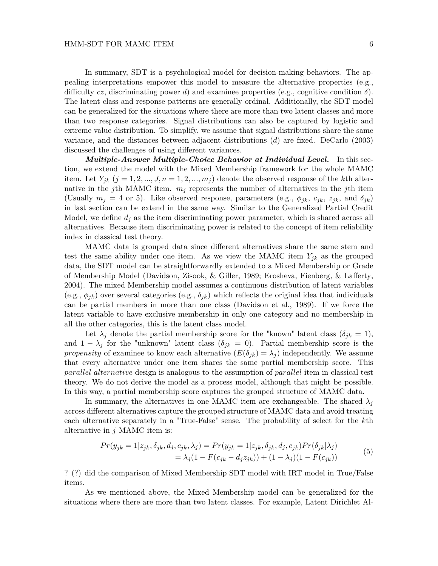In summary, SDT is a psychological model for decision-making behaviors. The appealing interpretations empower this model to measure the alternative properties (e.g., difficulty *cz*, discriminating power *d*) and examinee properties (e.g., cognitive condition *δ*). The latent class and response patterns are generally ordinal. Additionally, the SDT model can be generalized for the situations where there are more than two latent classes and more than two response categories. Signal distributions can also be captured by logistic and extreme value distribution. To simplify, we assume that signal distributions share the same variance, and the distances between adjacent distributions (*d*) are fixed. DeCarlo (2003) discussed the challenges of using different variances.

*Multiple-Answer Multiple-Choice Behavior at Individual Level.* In this section, we extend the model with the Mixed Membership framework for the whole MAMC item. Let  $Y_{jk}$  ( $j = 1, 2, ..., J, n = 1, 2, ..., m_j$ ) denote the observed response of the *k*th alternative in the *j*th MAMC item.  $m_j$  represents the number of alternatives in the *j*th item (Usually  $m_j = 4$  or 5). Like observed response, parameters (e.g.,  $\phi_{jk}$ ,  $c_{jk}$ ,  $z_{jk}$ , and  $\delta_{jk}$ ) in last section can be extend in the same way. Similar to the Generalized Partial Credit Model, we define  $d_i$  as the item discriminating power parameter, which is shared across all alternatives. Because item discriminating power is related to the concept of item reliability index in classical test theory.

MAMC data is grouped data since different alternatives share the same stem and test the same ability under one item. As we view the MAMC item  $Y_{jk}$  as the grouped data, the SDT model can be straightforwardly extended to a Mixed Membership or Grade of Membership Model (Davidson, Zisook, & Giller, 1989; Erosheva, Fienberg, & Lafferty, 2004). The mixed Membership model assumes a continuous distribution of latent variables (e.g.,  $\phi_{ik}$ ) over several categories (e.g.,  $\delta_{ik}$ ) which reflects the original idea that individuals can be partial members in more than one class (Davidson et al., 1989). If we force the latent variable to have exclusive membership in only one category and no membership in all the other categories, this is the latent class model.

Let  $\lambda_j$  denote the partial membership score for the "known" latent class  $(\delta_{jk} = 1)$ , and  $1 - \lambda_j$  for the "unknown" latent class  $(\delta_{jk} = 0)$ . Partial membership score is the *propensity* of examinee to know each alternative  $(E(\delta_{jk}) = \lambda_j)$  independently. We assume that every alternative under one item shares the same partial membership score. This *parallel alternative* design is analogous to the assumption of *parallel* item in classical test theory. We do not derive the model as a process model, although that might be possible. In this way, a partial membership score captures the grouped structure of MAMC data.

In summary, the alternatives in one MAMC item are exchangeable. The shared  $\lambda_j$ across different alternatives capture the grouped structure of MAMC data and avoid treating each alternative separately in a "True-False" sense. The probability of select for the *k*th alternative in *j* MAMC item is:

$$
Pr(y_{jk} = 1 | z_{jk}, \delta_{jk}, d_j, c_{jk}, \lambda_j) = Pr(y_{jk} = 1 | z_{jk}, \delta_{jk}, d_j, c_{jk}) Pr(\delta_{jk} | \lambda_j)
$$
  
=  $\lambda_j (1 - F(c_{jk} - d_j z_{jk})) + (1 - \lambda_j)(1 - F(c_{jk}))$  (5)

? (?) did the comparison of Mixed Membership SDT model with IRT model in True/False items.

As we mentioned above, the Mixed Membership model can be generalized for the situations where there are more than two latent classes. For example, Latent Dirichlet Al-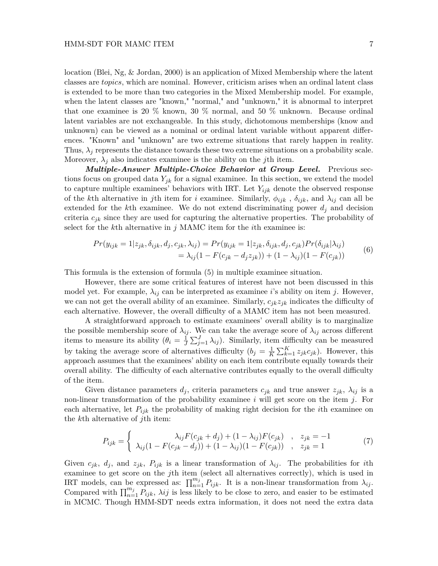location (Blei, Ng, & Jordan, 2000) is an application of Mixed Membership where the latent classes are *topics*, which are nominal. However, criticism arises when an ordinal latent class is extended to be more than two categories in the Mixed Membership model. For example, when the latent classes are "known," "normal," and "unknown," it is abnormal to interpret that one examinee is 20  $\%$  known, 30  $\%$  normal, and 50  $\%$  unknown. Because ordinal latent variables are not exchangeable. In this study, dichotomous memberships (know and unknown) can be viewed as a nominal or ordinal latent variable without apparent differences. "Known" and "unknown" are two extreme situations that rarely happen in reality. Thus,  $\lambda_j$  represents the distance towards these two extreme situations on a probability scale. Moreover,  $\lambda_j$  also indicates examinee is the ability on the *j*th item.

*Multiple-Answer Multiple-Choice Behavior at Group Level.* Previous sections focus on grouped data  $Y_{jk}$  for a signal examinee. In this section, we extend the model to capture multiple examinees' behaviors with IRT. Let *Yijk* denote the observed response of the *k*th alternative in *j*th item for *i* examinee. Similarly,  $\phi_{ijk}$ ,  $\delta_{ijk}$ , and  $\lambda_{ij}$  can all be extended for the  $k$ <sup>th</sup> examinee. We do not extend discriminating power  $d_j$  and decision criteria *cjk* since they are used for capturing the alternative properties. The probability of select for the *k*th alternative in *j* MAMC item for the *i*th examinee is:

$$
Pr(y_{ijk} = 1 | z_{jk}, \delta_{ijk}, d_j, c_{jk}, \lambda_{ij}) = Pr(y_{ijk} = 1 | z_{jk}, \delta_{ijk}, d_j, c_{jk}) Pr(\delta_{ijk} | \lambda_{ij})
$$
  
=  $\lambda_{ij} (1 - F(c_{jk} - d_j z_{jk})) + (1 - \lambda_{ij}) (1 - F(c_{jk}))$  (6)

This formula is the extension of formula (5) in multiple examinee situation.

However, there are some critical features of interest have not been discussed in this model yet. For example,  $\lambda_{ij}$  can be interpreted as examinee *i*'s ability on item *j*. However, we can not get the overall ability of an examinee. Similarly,  $c_{jk}z_{jk}$  indicates the difficulty of each alternative. However, the overall difficulty of a MAMC item has not been measured.

A straightforward approach to estimate examinees' overall ability is to marginalize the possible membership score of  $\lambda_{ij}$ . We can take the average score of  $\lambda_{ij}$  across different items to measure its ability  $(\theta_i = \frac{1}{l})$  $\frac{1}{J} \sum_{j=1}^{J} \lambda_{ij}$ . Similarly, item difficulty can be measured by taking the average score of alternatives difficulty  $(b_j = \frac{1}{K})$  $\frac{1}{K} \sum_{k=1}^{K} z_{jk} c_{jk}$ . However, this approach assumes that the examinees' ability on each item contribute equally towards their overall ability. The difficulty of each alternative contributes equally to the overall difficulty of the item.

Given distance parameters  $d_j$ , criteria parameters  $c_{jk}$  and true answer  $z_{jk}$ ,  $\lambda_{ij}$  is a non-linear transformation of the probability examinee *i* will get score on the item *j*. For each alternative, let  $P_{ijk}$  the probability of making right decision for the *i*th examinee on the *k*th alternative of *j*th item:

$$
P_{ijk} = \begin{cases} \lambda_{ij} F(c_{jk} + d_j) + (1 - \lambda_{ij}) F(c_{jk}) & , z_{jk} = -1 \\ \lambda_{ij} (1 - F(c_{jk} - d_j)) + (1 - \lambda_{ij}) (1 - F(c_{jk})) & , z_{jk} = 1 \end{cases}
$$
(7)

Given  $c_{jk}$ ,  $d_j$ , and  $z_{jk}$ ,  $P_{ijk}$  is a linear transformation of  $\lambda_{ij}$ . The probabilities for *i*th examinee to get score on the *j*th item (select all alternatives correctly), which is used in IRT models, can be expressed as:  $\prod_{n=1}^{m_j} P_{ijk}$ . It is a non-linear transformation from  $\lambda_{ij}$ . Compared with  $\prod_{n=1}^{m_j} P_{ijk}$ ,  $\lambda ij$  is less likely to be close to zero, and easier to be estimated in MCMC. Though HMM-SDT needs extra information, it does not need the extra data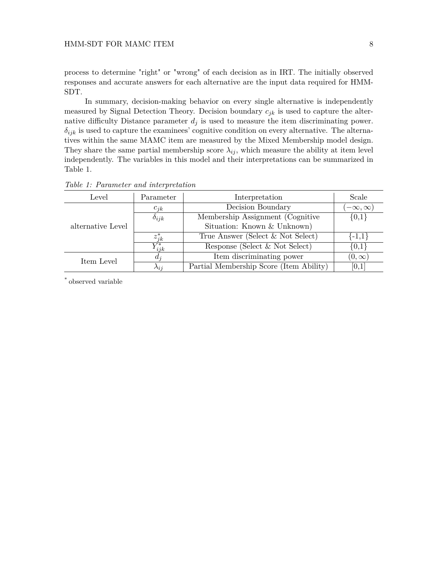process to determine "right" or "wrong" of each decision as in IRT. The initially observed responses and accurate answers for each alternative are the input data required for HMM-SDT.

In summary, decision-making behavior on every single alternative is independently measured by Signal Detection Theory. Decision boundary *cjk* is used to capture the alternative difficulty Distance parameter  $d_j$  is used to measure the item discriminating power.  $\delta_{ijk}$  is used to capture the examinees' cognitive condition on every alternative. The alternatives within the same MAMC item are measured by the Mixed Membership model design. They share the same partial membership score  $\lambda_{ij}$ , which measure the ability at item level independently. The variables in this model and their interpretations can be summarized in Table 1.

| Level             | Parameter      | Interpretation                          | Scale              |
|-------------------|----------------|-----------------------------------------|--------------------|
|                   | $c_{ik}$       | Decision Boundary                       | $(-\infty,\infty)$ |
| alternative Level | $\delta_{ijk}$ | Membership Assignment (Cognitive)       | $\{0,1\}$          |
|                   |                | Situation: Known & Unknown)             |                    |
|                   | $z_{ik}^*$     | True Answer (Select & Not Select)       | ${-1,1}$           |
|                   | $Y^*_{ijk}$    | Response (Select & Not Select)          | $\{0,1\}$          |
| Item Level        | $a_i$          | Item discriminating power               | $(0,\infty)$       |
|                   | $\lambda_{ij}$ | Partial Membership Score (Item Ability) | [0,1]              |
|                   |                |                                         |                    |

*Table 1: Parameter and interpretation*

\* observed variable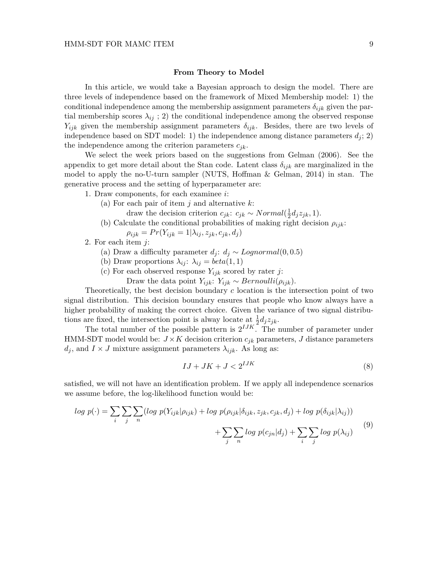#### **From Theory to Model**

In this article, we would take a Bayesian approach to design the model. There are three levels of independence based on the framework of Mixed Membership model: 1) the conditional independence among the membership assignment parameters  $\delta_{ijk}$  given the partial membership scores  $\lambda_{ij}$ ; 2) the conditional independence among the observed response *Yijk* given the membership assignment parameters *δijk*. Besides, there are two levels of independence based on SDT model: 1) the independence among distance parameters  $d_i$ ; 2) the independence among the criterion parameters *cjk*.

We select the week priors based on the suggestions from Gelman (2006). See the appendix to get more detail about the Stan code. Latent class  $\delta_{ijk}$  are marginalized in the model to apply the no-U-turn sampler (NUTS, Hoffman & Gelman, 2014) in stan. The generative process and the setting of hyperparameter are:

1. Draw components, for each examinee *i*:

(a) For each pair of item *j* and alternative *k*:

draw the decision criterion  $c_{jk}: c_{jk} \sim Normal(\frac{1}{2})$  $\frac{1}{2}d_{j}z_{jk}, 1).$ 

(b) Calculate the conditional probabilities of making right decision  $\rho_{ijk}$ :

 $\rho_{ijk} = Pr(Y_{ijk} = 1 | \lambda_{ij}, z_{jk}, c_{jk}, d_j)$ 

2. For each item *j*:

- (a) Draw a difficulty parameter  $d_j$ :  $d_j \sim Lognormal(0, 0.5)$
- (b) Draw proportions  $\lambda_{ij}$ :  $\lambda_{ij} = beta(1, 1)$
- (c) For each observed response  $Y_{ijk}$  scored by rater *j*:
	- Draw the data point  $Y_{ijk}: Y_{ijk} \sim Bernoulli(\rho_{ijk}).$

Theoretically, the best decision boundary *c* location is the intersection point of two signal distribution. This decision boundary ensures that people who know always have a higher probability of making the correct choice. Given the variance of two signal distributions are fixed, the intersection point is alway locate at  $\frac{1}{2}d_jz_{jk}$ .

The total number of the possible pattern is  $2^{IJK}$ . The number of parameter under HMM-SDT model would be:  $J \times K$  decision criterion  $c_{jk}$  parameters, *J* distance parameters  $d_j$ , and  $I \times J$  mixture assignment parameters  $\lambda_{ijk}$ . As long as:

$$
IJ + JK + J < 2^{IJK} \tag{8}
$$

satisfied, we will not have an identification problem. If we apply all independence scenarios we assume before, the log-likelihood function would be:

$$
log\ p(\cdot) = \sum_{i} \sum_{j} \sum_{n} (log\ p(Y_{ijk}|\rho_{ijk}) + log\ p(\rho_{ijk}|\delta_{ijk}, z_{jk}, c_{jk}, d_j) + log\ p(\delta_{ijk}|\lambda_{ij}))
$$

$$
+ \sum_{j} \sum_{n} log\ p(c_{jn}|d_j) + \sum_{i} \sum_{j} log\ p(\lambda_{ij}) \tag{9}
$$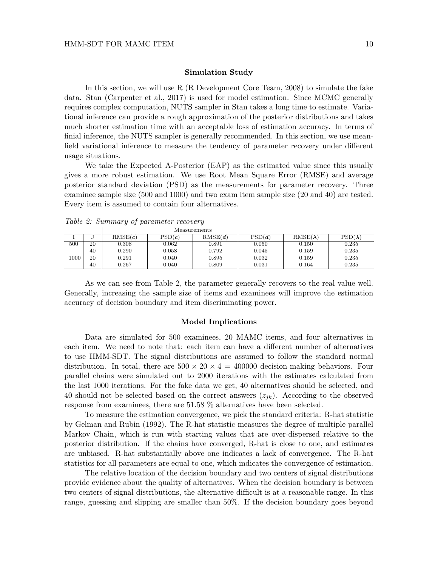#### **Simulation Study**

In this section, we will use R (R Development Core Team, 2008) to simulate the fake data. Stan (Carpenter et al., 2017) is used for model estimation. Since MCMC generally requires complex computation, NUTS sampler in Stan takes a long time to estimate. Variational inference can provide a rough approximation of the posterior distributions and takes much shorter estimation time with an acceptable loss of estimation accuracy. In terms of finial inference, the NUTS sampler is generally recommended. In this section, we use meanfield variational inference to measure the tendency of parameter recovery under different usage situations.

We take the Expected A-Posterior (EAP) as the estimated value since this usually gives a more robust estimation. We use Root Mean Square Error (RMSE) and average posterior standard deviation (PSD) as the measurements for parameter recovery. Three examinee sample size (500 and 1000) and two exam item sample size (20 and 40) are tested. Every item is assumed to contain four alternatives.

|      |    | Measurements |        |         |        |                 |                |  |
|------|----|--------------|--------|---------|--------|-----------------|----------------|--|
|      |    | RMSE(c)      | PSD(c) | RMSE(d) | PSD(d) | $RMSE(\lambda)$ | $PSD(\lambda)$ |  |
| 500  | 20 | 0.308        | 0.062  | 0.891   | 0.050  | 0.150           | 0.235          |  |
|      | 40 | 0.290        | 0.058  | 0.792   | 0.045  | 0.159           | 0.235          |  |
| 1000 | 20 | 0.291        | 0.040  | 0.895   | 0.032  | 0.159           | 0.235          |  |
|      | 40 | ${0.267}$    | 0.040  | 0.809   | 0.031  | 0.164           | 0.235          |  |

*Table 2: Summary of parameter recovery*

As we can see from Table 2, the parameter generally recovers to the real value well. Generally, increasing the sample size of items and examinees will improve the estimation accuracy of decision boundary and item discriminating power.

#### **Model Implications**

Data are simulated for 500 examinees, 20 MAMC items, and four alternatives in each item. We need to note that: each item can have a different number of alternatives to use HMM-SDT. The signal distributions are assumed to follow the standard normal distribution. In total, there are  $500 \times 20 \times 4 = 400000$  decision-making behaviors. Four parallel chains were simulated out to 2000 iterations with the estimates calculated from the last 1000 iterations. For the fake data we get, 40 alternatives should be selected, and 40 should not be selected based on the correct answers  $(z_{ik})$ . According to the observed response from examinees, there are 51.58 % alternatives have been selected.

To measure the estimation convergence, we pick the standard criteria: R-hat statistic by Gelman and Rubin (1992). The R-hat statistic measures the degree of multiple parallel Markov Chain, which is run with starting values that are over-dispersed relative to the posterior distribution. If the chains have converged, R-hat is close to one, and estimates are unbiased. R-hat substantially above one indicates a lack of convergence. The R-hat statistics for all parameters are equal to one, which indicates the convergence of estimation.

The relative location of the decision boundary and two centers of signal distributions provide evidence about the quality of alternatives. When the decision boundary is between two centers of signal distributions, the alternative difficult is at a reasonable range. In this range, guessing and slipping are smaller than 50%. If the decision boundary goes beyond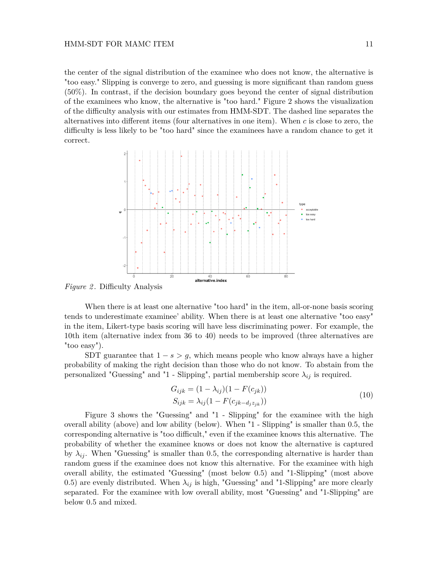#### HMM-SDT FOR MAMC ITEM 11

the center of the signal distribution of the examinee who does not know, the alternative is "too easy." Slipping is converge to zero, and guessing is more significant than random guess (50%). In contrast, if the decision boundary goes beyond the center of signal distribution of the examinees who know, the alternative is "too hard." Figure 2 shows the visualization of the difficulty analysis with our estimates from HMM-SDT. The dashed line separates the alternatives into different items (four alternatives in one item). When *c* is close to zero, the difficulty is less likely to be "too hard" since the examinees have a random chance to get it correct.



*Figure 2* . Difficulty Analysis

When there is at least one alternative "too hard" in the item, all-or-none basis scoring tends to underestimate examinee' ability. When there is at least one alternative "too easy" in the item, Likert-type basis scoring will have less discriminating power. For example, the 10th item (alternative index from 36 to 40) needs to be improved (three alternatives are "too easy").

SDT guarantee that  $1 - s > q$ , which means people who know always have a higher probability of making the right decision than those who do not know. To abstain from the personalized "Guessing" and "1 - Slipping", partial membership score  $\lambda_{ij}$  is required.

$$
G_{ijk} = (1 - \lambda_{ij})(1 - F(c_{jk}))
$$
  
\n
$$
S_{ijk} = \lambda_{ij}(1 - F(c_{jk} - d_{j}z_{jk}))
$$
\n(10)

Figure 3 shows the "Guessing" and "1 - Slipping" for the examinee with the high overall ability (above) and low ability (below). When "1 - Slipping" is smaller than 0.5, the corresponding alternative is "too difficult," even if the examinee knows this alternative. The probability of whether the examinee knows or does not know the alternative is captured by  $\lambda_{ij}$ . When "Guessing" is smaller than 0.5, the corresponding alternative is harder than random guess if the examinee does not know this alternative. For the examinee with high overall ability, the estimated "Guessing" (most below 0.5) and "1-Slipping" (most above 0.5) are evenly distributed. When  $\lambda_{ij}$  is high, "Guessing" and "1-Slipping" are more clearly separated. For the examinee with low overall ability, most "Guessing" and "1-Slipping" are below 0.5 and mixed.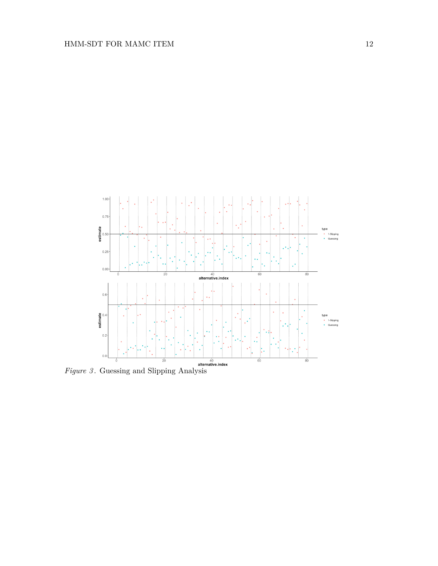

*Figure 3* . Guessing and Slipping Analysis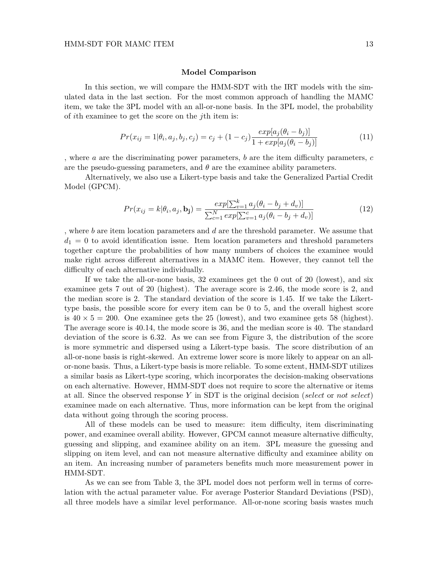#### **Model Comparison**

In this section, we will compare the HMM-SDT with the IRT models with the simulated data in the last section. For the most common approach of handling the MAMC item, we take the 3PL model with an all-or-none basis. In the 3PL model, the probability of *i*th examinee to get the score on the *j*th item is:

$$
Pr(x_{ij} = 1 | \theta_i, a_j, b_j, c_j) = c_j + (1 - c_j) \frac{exp[a_j(\theta_i - b_j)]}{1 + exp[a_j(\theta_i - b_j)]}
$$
(11)

, where *a* are the discriminating power parameters, *b* are the item difficulty parameters, *c* are the pseudo-guessing parameters, and  $\theta$  are the examinee ability parameters.

Alternatively, we also use a Likert-type basis and take the Generalized Partial Credit Model (GPCM).

$$
Pr(x_{ij} = k | \theta_i, a_j, \mathbf{b_j}) = \frac{exp[\sum_{v=1}^{k} a_j(\theta_i - b_j + d_v)]}{\sum_{c=1}^{N} exp[\sum_{v=1}^{c} a_j(\theta_i - b_j + d_v)]}
$$
(12)

, where *b* are item location parameters and *d* are the threshold parameter. We assume that  $d_1 = 0$  to avoid identification issue. Item location parameters and threshold parameters together capture the probabilities of how many numbers of choices the examinee would make right across different alternatives in a MAMC item. However, they cannot tell the difficulty of each alternative individually.

If we take the all-or-none basis, 32 examinees get the 0 out of 20 (lowest), and six examinee gets 7 out of 20 (highest). The average score is 2.46, the mode score is 2, and the median score is 2. The standard deviation of the score is 1.45. If we take the Likerttype basis, the possible score for every item can be 0 to 5, and the overall highest score is  $40 \times 5 = 200$ . One examinee gets the 25 (lowest), and two examinee gets 58 (highest). The average score is 40.14, the mode score is 36, and the median score is 40. The standard deviation of the score is 6.32. As we can see from Figure 3, the distribution of the score is more symmetric and dispersed using a Likert-type basis. The score distribution of an all-or-none basis is right-skewed. An extreme lower score is more likely to appear on an allor-none basis. Thus, a Likert-type basis is more reliable. To some extent, HMM-SDT utilizes a similar basis as Likert-type scoring, which incorporates the decision-making observations on each alternative. However, HMM-SDT does not require to score the alternative or items at all. Since the observed response *Y* in SDT is the original decision (*select* or *not select*) examinee made on each alternative. Thus, more information can be kept from the original data without going through the scoring process.

All of these models can be used to measure: item difficulty, item discriminating power, and examinee overall ability. However, GPCM cannot measure alternative difficulty, guessing and slipping, and examinee ability on an item. 3PL measure the guessing and slipping on item level, and can not measure alternative difficulty and examinee ability on an item. An increasing number of parameters benefits much more measurement power in HMM-SDT.

As we can see from Table 3, the 3PL model does not perform well in terms of correlation with the actual parameter value. For average Posterior Standard Deviations (PSD), all three models have a similar level performance. All-or-none scoring basis wastes much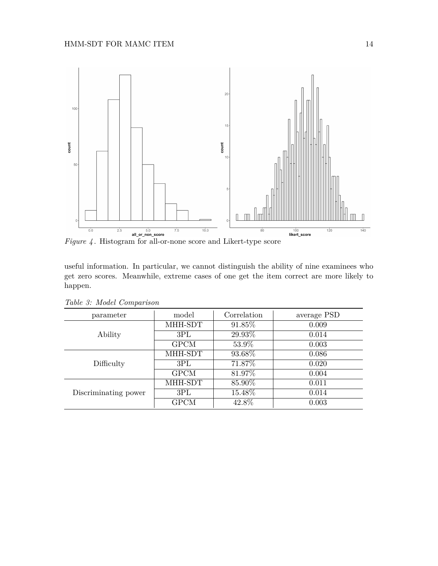

useful information. In particular, we cannot distinguish the ability of nine examinees who get zero scores. Meanwhile, extreme cases of one get the item correct are more likely to happen.

| parameter            | model       | Correlation | average PSD |
|----------------------|-------------|-------------|-------------|
|                      | MHH-SDT     | 91.85%      | 0.009       |
| Ability              | 3PL         | 29.93%      | 0.014       |
|                      | <b>GPCM</b> | 53.9%       | 0.003       |
|                      | MHH-SDT     | 93.68%      | 0.086       |
| Difficulty           | 3PL         | 71.87%      | 0.020       |
|                      | <b>GPCM</b> | 81.97%      | 0.004       |
|                      | MHH-SDT     | 85.90%      | 0.011       |
| Discriminating power | 3PL         | 15.48%      | 0.014       |
|                      | <b>GPCM</b> | 42.8%       | 0.003       |

*Table 3: Model Comparison*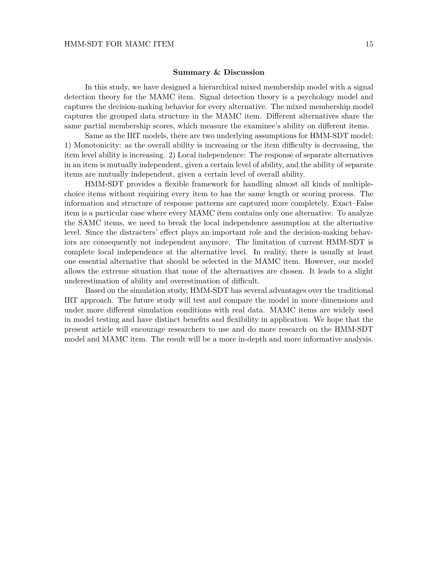## **Summary & Discussion**

In this study, we have designed a hierarchical mixed membership model with a signal detection theory for the MAMC item. Signal detection theory is a psychology model and captures the decision-making behavior for every alternative. The mixed membership model captures the grouped data structure in the MAMC item. Different alternatives share the same partial membership scores, which measure the examinee's ability on different items.

Same as the IRT models, there are two underlying assumptions for HMM-SDT model: 1) Monotonicity: as the overall ability is increasing or the item difficulty is decreasing, the item level ability is increasing. 2) Local independence: The response of separate alternatives in an item is mutually independent, given a certain level of ability, and the ability of separate items are mutually independent, given a certain level of overall ability.

HMM-SDT provides a flexible framework for handling almost all kinds of multiplechoice items without requiring every item to has the same length or scoring process. The information and structure of response patterns are captured more completely. Exact–False item is a particular case where every MAMC item contains only one alternative. To analyze the SAMC items, we need to break the local independence assumption at the alternative level. Since the distracters' effect plays an important role and the decision-making behaviors are consequently not independent anymore. The limitation of current HMM-SDT is complete local independence at the alternative level. In reality, there is usually at least one essential alternative that should be selected in the MAMC item. However, our model allows the extreme situation that none of the alternatives are chosen. It leads to a slight underestimation of ability and overestimation of difficult.

Based on the simulation study, HMM-SDT has several advantages over the traditional IRT approach. The future study will test and compare the model in more dimensions and under more different simulation conditions with real data. MAMC items are widely used in model testing and have distinct benefits and flexibility in application. We hope that the present article will encourage researchers to use and do more research on the HMM-SDT model and MAMC item. The result will be a more in-depth and more informative analysis.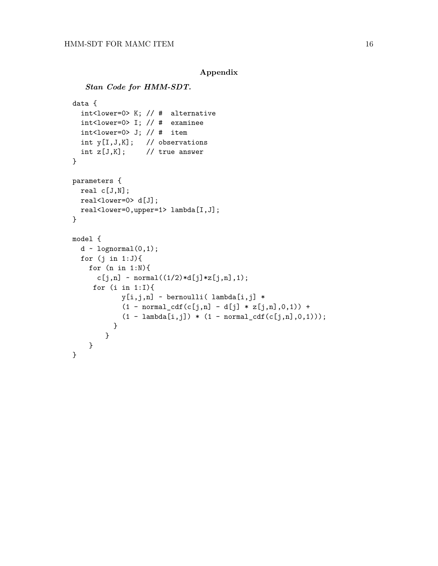```
Appendix
```

```
Stan Code for HMM-SDT.
data {
  int<lower=0> K; // # alternative
  int<lower=0> I; // # examinee
  int<lower=0> J; // # item
  int y[I,J,K]; // observations
  int z[J,K]; // true answer
}
parameters {
 real c[J,N];
 real<lower=0> d[J];
 real<lower=0,upper=1> lambda[I,J];
}
model {
  d \sim lognormal(0,1);
  for (j in 1:J){
    for (n in 1:N){
      c[j,n] ~ normal((1/2)*d[j]*z[j,n],1);for (i in 1:I){
            y[i,j,n] ~ bernoulli( lambda[i,j] *
            (1 - normal_cdf(c[j,n] - d[j] * z[j,n],0,1)) +(1 - \text{lambda}[i,j]) * (1 - \text{normal_cdf}(c[j,n],0,1));
          }
        }
    }
}
```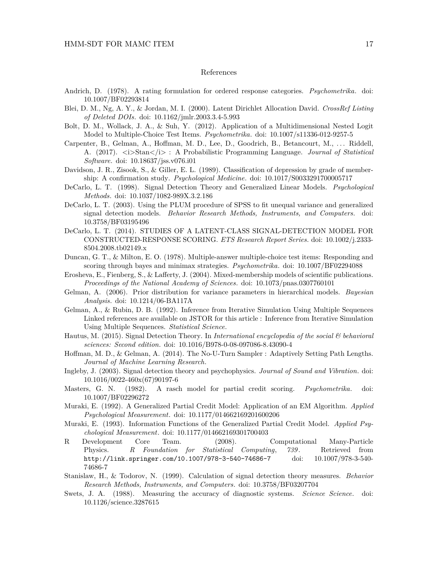## References

- Andrich, D. (1978). A rating formulation for ordered response categories. *Psychometrika*. doi: 10.1007/BF02293814
- Blei, D. M., Ng, A. Y., & Jordan, M. I. (2000). Latent Dirichlet Allocation David. *CrossRef Listing of Deleted DOIs*. doi: 10.1162/jmlr.2003.3.4-5.993
- Bolt, D. M., Wollack, J. A., & Suh, Y. (2012). Application of a Multidimensional Nested Logit Model to Multiple-Choice Test Items. *Psychometrika*. doi: 10.1007/s11336-012-9257-5
- Carpenter, B., Gelman, A., Hoffman, M. D., Lee, D., Goodrich, B., Betancourt, M., . . . Riddell, A. (2017).  $\langle i \rangle$ Stan $\langle i \rangle$ : A Probabilistic Programming Language. *Journal of Statistical Software*. doi: 10.18637/jss.v076.i01
- Davidson, J. R., Zisook, S., & Giller, E. L. (1989). Classification of depression by grade of membership: A confirmation study. *Psychological Medicine*. doi: 10.1017/S0033291700005717
- DeCarlo, L. T. (1998). Signal Detection Theory and Generalized Linear Models. *Psychological Methods*. doi: 10.1037/1082-989X.3.2.186
- DeCarlo, L. T. (2003). Using the PLUM procedure of SPSS to fit unequal variance and generalized signal detection models. *Behavior Research Methods, Instruments, and Computers*. doi: 10.3758/BF03195496
- DeCarlo, L. T. (2014). STUDIES OF A LATENT-CLASS SIGNAL-DETECTION MODEL FOR CONSTRUCTED-RESPONSE SCORING. *ETS Research Report Series*. doi: 10.1002/j.2333- 8504.2008.tb02149.x
- Duncan, G. T., & Milton, E. O. (1978). Multiple-answer multiple-choice test items: Responding and scoring through bayes and minimax strategies. *Psychometrika*. doi: 10.1007/BF02294088
- Erosheva, E., Fienberg, S., & Lafferty, J. (2004). Mixed-membership models of scientific publications. *Proceedings of the National Academy of Sciences*. doi: 10.1073/pnas.0307760101
- Gelman, A. (2006). Prior distribution for variance parameters in hierarchical models. *Bayesian Analysis*. doi: 10.1214/06-BA117A
- Gelman, A., & Rubin, D. B. (1992). Inference from Iterative Simulation Using Multiple Sequences Linked references are available on JSTOR for this article : Inference from Iterative Simulation Using Multiple Sequences. *Statistical Science*.
- Hautus, M. (2015). Signal Detection Theory. In *International encyclopedia of the social & behavioral sciences: Second edition.* doi: 10.1016/B978-0-08-097086-8.43090-4
- Hoffman, M. D., & Gelman, A. (2014). The No-U-Turn Sampler : Adaptively Setting Path Lengths. *Journal of Machine Learning Research*.
- Ingleby, J. (2003). Signal detection theory and psychophysics. *Journal of Sound and Vibration*. doi: 10.1016/0022-460x(67)90197-6
- Masters, G. N. (1982). A rasch model for partial credit scoring. *Psychometrika*. doi: 10.1007/BF02296272
- Muraki, E. (1992). A Generalized Partial Credit Model: Application of an EM Algorithm. *Applied Psychological Measurement*. doi: 10.1177/014662169201600206
- Muraki, E. (1993). Information Functions of the Generalized Partial Credit Model. *Applied Psychological Measurement*. doi: 10.1177/014662169301700403
- R Development Core Team. (2008). Computational Many-Particle Physics. *R Foundation for Statistical Computing*, *739* . Retrieved from http://link.springer.com/10.1007/978-3-540-74686-7 doi: 10.1007/978-3-540- 74686-7
- Stanislaw, H., & Todorov, N. (1999). Calculation of signal detection theory measures. *Behavior Research Methods, Instruments, and Computers*. doi: 10.3758/BF03207704
- Swets, J. A. (1988). Measuring the accuracy of diagnostic systems. *Science Science*. doi: 10.1126/science.3287615